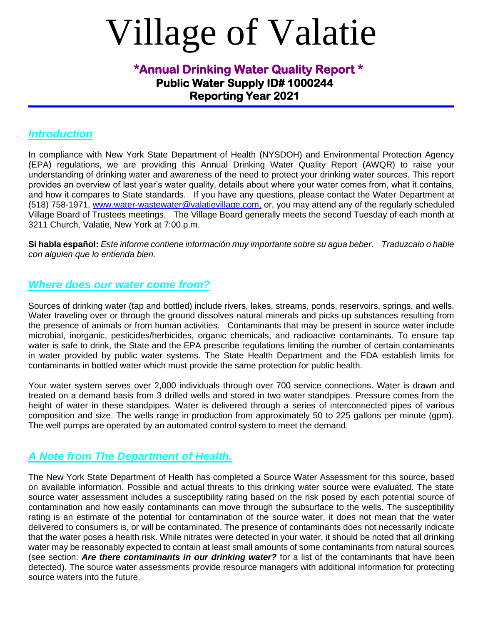# Village of Valatie

# **Public Water Supply ID# 1000244 Reporting Year 2021 \*Annual Drinking Water Quality Report \***

#### *Introduction*

In compliance with New York State Department of Health (NYSDOH) and Environmental Protection Agency (EPA) regulations, we are providing this Annual Drinking Water Quality Report (AWQR) to raise your understanding of drinking water and awareness of the need to protect your drinking water sources. This report provides an overview of last year's water quality, details about where your water comes from, what it contains, and how it compares to State standards. If you have any questions, please contact the Water Department at (518) 758-1971, www.water-wastewater@valatievillage.com, or, you may attend any of the regularly scheduled Village Board of Trustees meetings. The Village Board generally meets the second Tuesday of each month at 3211 Church, Valatie, New York at 7:00 p.m.

**Si habla español:** *Este informe contiene información muy importante sobre su agua beber. Traduzcalo o hable con alguien que lo entienda bien.*

## *Where does our water come from?*

Sources of drinking water (tap and bottled) include rivers, lakes, streams, ponds, reservoirs, springs, and wells. Water traveling over or through the ground dissolves natural minerals and picks up substances resulting from the presence of animals or from human activities. Contaminants that may be present in source water include microbial, inorganic, pesticides/herbicides, organic chemicals, and radioactive contaminants. To ensure tap water is safe to drink, the State and the EPA prescribe regulations limiting the number of certain contaminants in water provided by public water systems. The State Health Department and the FDA establish limits for contaminants in bottled water which must provide the same protection for public health.

Your water system serves over 2,000 individuals through over 700 service connections. Water is drawn and treated on a demand basis from 3 drilled wells and stored in two water standpipes. Pressure comes from the height of water in these standpipes. Water is delivered through a series of interconnected pipes of various composition and size. The wells range in production from approximately 50 to 225 gallons per minute (gpm). The well pumps are operated by an automated control system to meet the demand.

## *A Note from The Department of Health.*

The New York State Department of Health has completed a Source Water Assessment for this source, based on available information. Possible and actual threats to this drinking water source were evaluated. The state source water assessment includes a susceptibility rating based on the risk posed by each potential source of contamination and how easily contaminants can move through the subsurface to the wells. The susceptibility rating is an estimate of the potential for contamination of the source water, it does not mean that the water delivered to consumers is, or will be contaminated. The presence of contaminants does not necessarily indicate that the water poses a health risk. While nitrates were detected in your water, it should be noted that all drinking water may be reasonably expected to contain at least small amounts of some contaminants from natural sources (see section: *Are there contaminants in our drinking water?* for a list of the contaminants that have been detected). The source water assessments provide resource managers with additional information for protecting source waters into the future.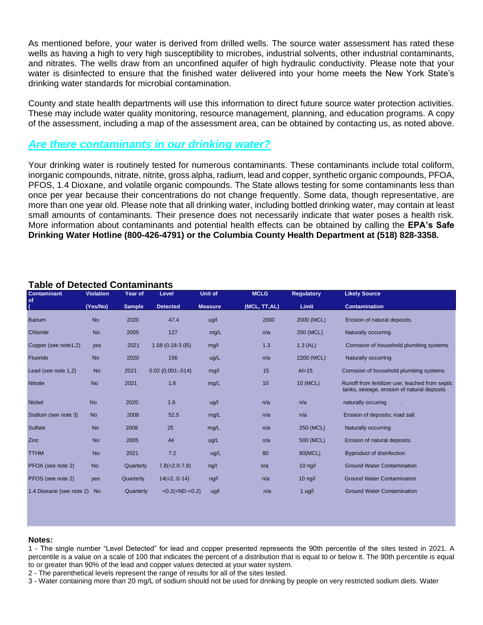As mentioned before, your water is derived from drilled wells. The source water assessment has rated these wells as having a high to very high susceptibility to microbes, industrial solvents, other industrial contaminants, and nitrates. The wells draw from an unconfined aquifer of high hydraulic conductivity. Please note that your water is disinfected to ensure that the finished water delivered into your home meets the New York State's drinking water standards for microbial contamination.

County and state health departments will use this information to direct future source water protection activities. These may include water quality monitoring, resource management, planning, and education programs. A copy of the assessment, including a map of the assessment area, can be obtained by contacting us, as noted above.

## *Are there contaminants in our drinking water?*

Your drinking water is routinely tested for numerous contaminants. These contaminants include total coliform, inorganic compounds, nitrate, nitrite, gross alpha, radium, lead and copper, synthetic organic compounds, PFOA, PFOS, 1.4 Dioxane, and volatile organic compounds. The State allows testing for some contaminants less than once per year because their concentrations do not change frequently. Some data, though representative, are more than one year old. Please note that all drinking water, including bottled drinking water, may contain at least small amounts of contaminants. Their presence does not necessarily indicate that water poses a health risk. More information about contaminants and potential health effects can be obtained by calling the **EPA's Safe Drinking Water Hotline (800-426-4791) or the Columbia County Health Department at (518) 828-3358.** 

| <b>Contaminant</b>       | <b>Violation</b> | Year of       | Level                                                                                                                            | Unit of        | <b>MCLG</b>   | <b>Regulatory</b> | <b>Likely Source</b>                                                                          |
|--------------------------|------------------|---------------|----------------------------------------------------------------------------------------------------------------------------------|----------------|---------------|-------------------|-----------------------------------------------------------------------------------------------|
| of<br>(                  | (Yes/No)         | <b>Sample</b> | <b>Detected</b>                                                                                                                  | <b>Measure</b> | (MCL, TT, AL) | Limit             | <b>Contamination</b>                                                                          |
| <b>Barium</b>            | <b>No</b>        | 2020          | 47.4                                                                                                                             | uq/l           | 2000          | 2000 (MCL)        | Erosion of natural deposits.                                                                  |
| Chloride                 | <b>No</b>        | 2005          | 127                                                                                                                              | mg/L           | n/a           | 250 (MCL)         | Naturally occurring                                                                           |
| Copper (see note1,2)     | yes              | 2021          | $1.58(0.18-3.05)$                                                                                                                | mg/l           | 1.3           | $1.3$ (AL)        | Corrosion of household plumbing systems                                                       |
| Fluoride                 | <b>No</b>        | 2020          | 156                                                                                                                              | ug/L           | n/a           | 2200 (MCL)        | Naturally occurring                                                                           |
| Lead (see note 1,2)      | <b>No</b>        | 2021          | $0.02(0.001 - 014)$                                                                                                              | mg/l           | 15            | $Al=15$           | Corrosion of household plumbing systems                                                       |
| <b>Nitrate</b>           | <b>No</b>        | 2021          | 1.6                                                                                                                              | mg/L           | 10            | 10 (MCL)          | Runoff from fertilizer use; leached from septic<br>tanks, sewage, erosion of natural deposits |
| <b>Nickel</b>            | <b>No</b>        | 2020          | 1.6                                                                                                                              | ug/l           | n/a           | n/a               | naturally occuring                                                                            |
| Sodium (see note 3)      | <b>No</b>        | 2008          | 52.5                                                                                                                             | mg/L           | n/a           | n/a               | Erosion of deposits; road salt                                                                |
| Sulfate                  | <b>No</b>        | 2008          | 25                                                                                                                               | mg/L           | n/a           | 250 (MCL)         | Naturally occurring                                                                           |
| <b>Zinc</b>              | <b>No</b>        | 2005          | 44                                                                                                                               | ug/L           | n/a           | 500 (MCL)         | Erosion of natural deposits.                                                                  |
| <b>TTHM</b>              | <b>No</b>        | 2021          | 7.2                                                                                                                              | ug/L           | 80            | 80(MCL)           | <b>Byproduct of disinfection</b>                                                              |
| PFOA (see note 2)        | <b>No</b>        | Quarterly     | $7.8(<2.0-7.8)$                                                                                                                  | $\frac{ng}{l}$ | n/a           | $10$ ng/l         | <b>Ground Water Contamination</b>                                                             |
| PFOS (see note 2)        | <b>ves</b>       | Quarterly     | $14(<2.0-14)$                                                                                                                    | ng/l           | n/a           | $10$ ng/l         | <b>Ground Water Contamination</b>                                                             |
| 1.4 Dioxane (see note 2) | <b>No</b>        | Quarterly     | <0.2( <nd<0.2)< td=""><td>ug/l</td><td>n/a</td><td><math>1</math> ug/l</td><td><b>Ground Water Contamination</b></td></nd<0.2)<> | ug/l           | n/a           | $1$ ug/l          | <b>Ground Water Contamination</b>                                                             |

#### **Table of Detected Contaminants**

#### **Notes:**

1 - The single number "Level Detected" for lead and copper presented represents the 90th percentile of the sites tested in 2021. A percentile is a value on a scale of 100 that indicates the percent of a distribution that is equal to or below it. The 90th percentile is equal to or greater than 90% of the lead and copper values detected at your water system.

2 - The parenthetical levels represent the range of results for all of the sites tested.

3 - Water containing more than 20 mg/L of sodium should not be used for drinking by people on very restricted sodium diets. Water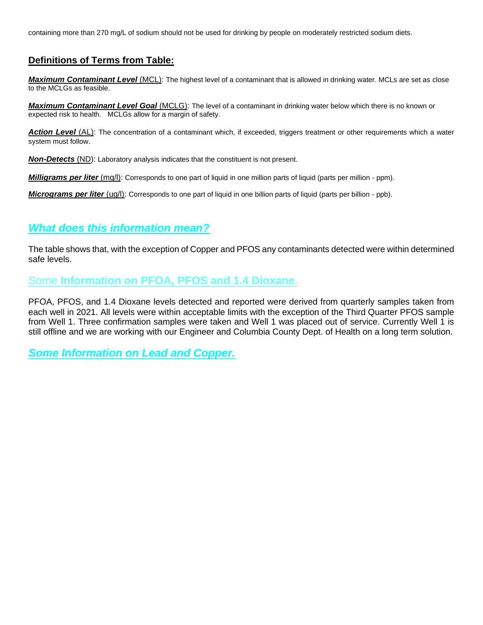containing more than 270 mg/L of sodium should not be used for drinking by people on moderately restricted sodium diets.

#### **Definitions of Terms from Table:**

*Maximum Contaminant Level* (MCL): The highest level of a contaminant that is allowed in drinking water. MCLs are set as close to the MCLGs as feasible.

*Maximum Contaminant Level Goal* (MCLG): The level of a contaminant in drinking water below which there is no known or expected risk to health. MCLGs allow for a margin of safety.

*Action Level* (AL): The concentration of a contaminant which, if exceeded, triggers treatment or other requirements which a water system must follow.

*Non-Detects* (ND): Laboratory analysis indicates that the constituent is not present.

*Milligrams per liter* (mg/l): Corresponds to one part of liquid in one million parts of liquid (parts per million - ppm).

*Micrograms per liter* (ug/l): Corresponds to one part of liquid in one billion parts of liquid (parts per billion - ppb).

#### *What does this information mean?*

The table shows that, with the exception of Copper and PFOS any contaminants detected were within determined safe levels.

## Some **Information on PFOA, PFOS and 1.4 Dioxane.**

PFOA, PFOS, and 1.4 Dioxane levels detected and reported were derived from quarterly samples taken from each well in 2021. All levels were within acceptable limits with the exception of the Third Quarter PFOS sample from Well 1. Three confirmation samples were taken and Well 1 was placed out of service. Currently Well 1 is still offline and we are working with our Engineer and Columbia County Dept. of Health on a long term solution.

#### *Some Information on Lead and Copper.*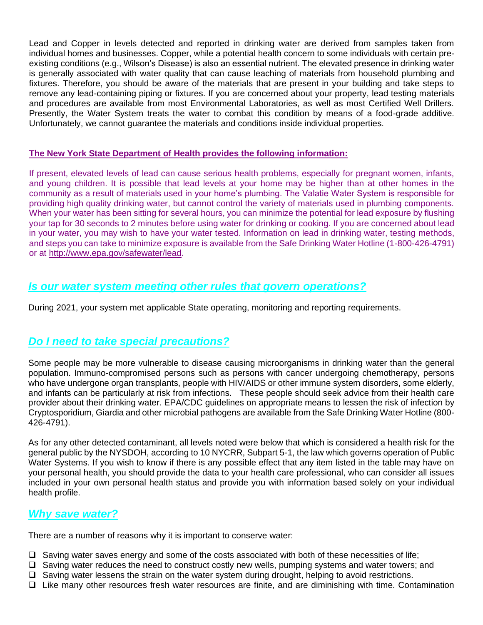Lead and Copper in levels detected and reported in drinking water are derived from samples taken from individual homes and businesses. Copper, while a potential health concern to some individuals with certain preexisting conditions (e.g., Wilson's Disease) is also an essential nutrient. The elevated presence in drinking water is generally associated with water quality that can cause leaching of materials from household plumbing and fixtures. Therefore, you should be aware of the materials that are present in your building and take steps to remove any lead-containing piping or fixtures. If you are concerned about your property, lead testing materials and procedures are available from most Environmental Laboratories, as well as most Certified Well Drillers. Presently, the Water System treats the water to combat this condition by means of a food-grade additive. Unfortunately, we cannot guarantee the materials and conditions inside individual properties.

#### **The New York State Department of Health provides the following information:**

If present, elevated levels of lead can cause serious health problems, especially for pregnant women, infants, and young children. It is possible that lead levels at your home may be higher than at other homes in the community as a result of materials used in your home's plumbing. The Valatie Water System is responsible for providing high quality drinking water, but cannot control the variety of materials used in plumbing components. When your water has been sitting for several hours, you can minimize the potential for lead exposure by flushing your tap for 30 seconds to 2 minutes before using water for drinking or cooking. If you are concerned about lead in your water, you may wish to have your water tested. Information on lead in drinking water, testing methods, and steps you can take to minimize exposure is available from the Safe Drinking Water Hotline (1-800-426-4791) or at http://www.epa.gov/safewater/lead.

## *Is our water system meeting other rules that govern operations?*

During 2021, your system met applicable State operating, monitoring and reporting requirements.

## *Do I need to take special precautions?*

Some people may be more vulnerable to disease causing microorganisms in drinking water than the general population. Immuno-compromised persons such as persons with cancer undergoing chemotherapy, persons who have undergone organ transplants, people with HIV/AIDS or other immune system disorders, some elderly, and infants can be particularly at risk from infections. These people should seek advice from their health care provider about their drinking water. EPA/CDC guidelines on appropriate means to lessen the risk of infection by Cryptosporidium, Giardia and other microbial pathogens are available from the Safe Drinking Water Hotline (800- 426-4791).

As for any other detected contaminant, all levels noted were below that which is considered a health risk for the general public by the NYSDOH, according to 10 NYCRR, Subpart 5-1, the law which governs operation of Public Water Systems. If you wish to know if there is any possible effect that any item listed in the table may have on your personal health, you should provide the data to your health care professional, who can consider all issues included in your own personal health status and provide you with information based solely on your individual health profile.

#### *Why save water?*

There are a number of reasons why it is important to conserve water:

- ❑ Saving water saves energy and some of the costs associated with both of these necessities of life;
- ❑ Saving water reduces the need to construct costly new wells, pumping systems and water towers; and
- ❑ Saving water lessens the strain on the water system during drought, helping to avoid restrictions.
- ❑ Like many other resources fresh water resources are finite, and are diminishing with time. Contamination